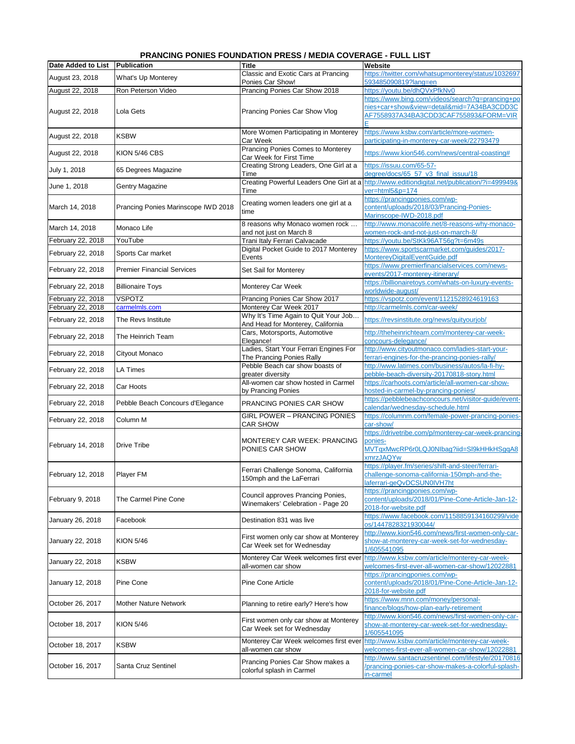|                    | , NARURU I VRILJ I VVI              | 00 N N N N N N N N N O V LI             | ו טוב בוט ו                                          |
|--------------------|-------------------------------------|-----------------------------------------|------------------------------------------------------|
| Date Added to List | Publication                         | Title                                   | Website                                              |
|                    |                                     | Classic and Exotic Cars at Prancing     | https://twitter.com/whatsupmonterey/status/1032697   |
| August 23, 2018    | What's Up Monterey                  | Ponies Car Show!                        | 593485090819?lang=en                                 |
| August 22, 2018    | Ron Peterson Video                  | Prancing Ponies Car Show 2018           | https://youtu.be/dhQVxPfkNv0                         |
|                    |                                     |                                         | https://www.bing.com/videos/search?q=prancing+po     |
|                    |                                     |                                         | nies+car+show&view=detail∣=7A34BA3CDD3C              |
| August 22, 2018    | Lola Gets                           | Prancing Ponies Car Show Vlog           |                                                      |
|                    |                                     |                                         | AF7558937A34BA3CDD3CAF755893&FORM=VIR                |
|                    |                                     |                                         |                                                      |
| August 22, 2018    | <b>KSBW</b>                         | More Women Participating in Monterey    | https://www.ksbw.com/article/more-women-             |
|                    |                                     | Car Week                                | participating-in-monterey-car-week/22793479          |
|                    | KION 5/46 CBS                       | Prancing Ponies Comes to Monterey       |                                                      |
| August 22, 2018    |                                     | Car Week for First Time                 | https://www.kion546.com/news/central-coasting#       |
|                    |                                     | Creating Strong Leaders, One Girl at a  | https://issuu.com/65-57-                             |
| July 1, 2018       | 65 Degrees Magazine                 | Time                                    | degree/docs/65_57_v3_final_issuu/18                  |
|                    |                                     | Creating Powerful Leaders One Girl at a | http://www.editiondigital.net/publication/?i=499949& |
| June 1, 2018       | Gentry Magazine                     | Time                                    | ver=html5&p=174                                      |
|                    |                                     |                                         |                                                      |
|                    |                                     | Creating women leaders one girl at a    | https://prancingponies.com/wp-                       |
| March 14, 2018     | Prancing Ponies Marinscope IWD 2018 | time                                    | content/uploads/2018/03/Prancing-Ponies-             |
|                    |                                     |                                         | Marinscope-IWD-2018.pdf                              |
|                    |                                     | 8 reasons why Monaco women rock         | http://www.monacolife.net/8-reasons-why-monaco-      |
| March 14, 2018     | Monaco Life                         | and not just on March 8                 | women-rock-and-not-just-on-march-8/                  |
| February 22, 2018  | YouTube                             | Trani Italy Ferrari Calvacade           | https://youtu.be/StKk96AT56q?t=6m49s                 |
|                    |                                     | Digital Pocket Guide to 2017 Monterey   | https://www.sportscarmarket.com/guides/2017-         |
| February 22, 2018  | Sports Car market                   | Events                                  | MonterevDigitalEventGuide.pdf                        |
|                    |                                     |                                         |                                                      |
| February 22, 2018  | <b>Premier Financial Services</b>   | Set Sail for Monterey                   | https://www.premierfinancialservices.com/news-       |
|                    |                                     |                                         | events/2017-monterey-itinerary/                      |
| February 22, 2018  | <b>Billionaire Toys</b>             | Monterey Car Week                       | https://billionairetoys.com/whats-on-luxury-events-  |
|                    |                                     |                                         | worldwide-august/                                    |
| February 22, 2018  | <b>VSPOTZ</b>                       | Prancing Ponies Car Show 2017           | https://vspotz.com/event/1121528924619163            |
| February 22, 2018  | carmelmls.com                       | Monterey Car Week 2017                  | http://carmelmls.com/car-week/                       |
|                    |                                     | Why It's Time Again to Quit Your Job    |                                                      |
| February 22, 2018  | The Revs Institute                  | And Head for Monterey, California       | https://revsinstitute.org/news/quityourjob/          |
|                    |                                     | Cars, Motorsports, Automotive           |                                                      |
| February 22, 2018  | The Heinrich Team                   |                                         | http://theheinrichteam.com/monterey-car-week-        |
|                    |                                     | Elegance!                               | concours-delegance/                                  |
| February 22, 2018  | Cityout Monaco                      | Ladies, Start Your Ferrari Engines For  | http://www.cityoutmonaco.com/ladies-start-your-      |
|                    |                                     | The Prancing Ponies Rally               | ferrari-engines-for-the-prancing-ponies-rally/       |
| February 22, 2018  | <b>LA Times</b>                     | Pebble Beach car show boasts of         | http://www.latimes.com/business/autos/la-fi-hy-      |
|                    |                                     | greater diversity                       | pebble-beach-diversity-20170818-story.html           |
|                    |                                     | All-women car show hosted in Carmel     | https://carhoots.com/article/all-women-car-show-     |
| February 22, 2018  | Car Hoots                           | by Prancing Ponies                      | hosted-in-carmel-by-prancing-ponies/                 |
|                    |                                     |                                         | https://pebblebeachconcours.net/visitor-quide/event- |
| February 22, 2018  | Pebble Beach Concours d'Elegance    | PRANCING PONIES CAR SHOW                | calendar/wednesday-schedule.html                     |
|                    |                                     |                                         |                                                      |
| February 22, 2018  | Column M                            | <b>GIRL POWER - PRANCING PONIES</b>     | https://columnm.com/female-power-prancing-ponies-    |
|                    |                                     | <b>CAR SHOW</b>                         | car-show/                                            |
|                    |                                     |                                         | https://drivetribe.com/p/monterey-car-week-prancing- |
|                    | <b>Drive Tribe</b>                  | MONTEREY CAR WEEK: PRANCING             | ponies-                                              |
| February 14, 2018  |                                     | PONIES CAR SHOW                         | MVTgxMwcRP6r0LQJ0Nlbag?iid=Sl9kHHkHSggA8             |
|                    |                                     |                                         | xmrzJAQYw                                            |
|                    |                                     |                                         | https://player.fm/series/shift-and-steer/ferrari-    |
| February 12, 2018  | Player FM                           | Ferrari Challenge Sonoma, California    | challenge-sonoma-california-150mph-and-the-          |
|                    |                                     | 150mph and the LaFerrari                |                                                      |
|                    |                                     |                                         | laferrari-geQvDCSUN0IVH7ht                           |
|                    |                                     | Council approves Prancing Ponies,       | https://prancingponies.com/wp-                       |
| February 9, 2018   | The Carmel Pine Cone                | Winemakers' Celebration - Page 20       | content/uploads/2018/01/Pine-Cone-Article-Jan-12-    |
|                    |                                     |                                         | 2018-for-website.pdf                                 |
|                    | Facebook                            | Destination 831 was live                | https://www.facebook.com/1158859134160299/vide       |
| January 26, 2018   |                                     |                                         | os/1447828321930044/                                 |
|                    |                                     |                                         | http://www.kion546.com/news/first-women-only-car-    |
| January 22, 2018   | <b>KION 5/46</b>                    | First women only car show at Monterey   | show-at-monterey-car-week-set-for-wednesday-         |
|                    |                                     | Car Week set for Wednesday              | 1/605541095                                          |
|                    |                                     |                                         |                                                      |
| January 22, 2018   | <b>KSBW</b>                         | Monterey Car Week welcomes first ever   | http://www.ksbw.com/article/monterey-car-week-       |
|                    |                                     | all-women car show                      | welcomes-first-ever-all-women-car-show/12022881      |
|                    |                                     |                                         | https://prancingponies.com/wp-                       |
| January 12, 2018   | Pine Cone                           | Pine Cone Article                       | content/uploads/2018/01/Pine-Cone-Article-Jan-12-    |
|                    |                                     |                                         | 2018-for-website.pdf                                 |
|                    |                                     |                                         | https://www.mnn.com/money/personal-                  |
| October 26, 2017   | <b>Mother Nature Network</b>        | Planning to retire early? Here's how    | finance/blogs/how-plan-early-retirement              |
|                    |                                     |                                         | http://www.kion546.com/news/first-women-only-car-    |
|                    |                                     | First women only car show at Monterey   |                                                      |
| October 18, 2017   | <b>KION 5/46</b>                    | Car Week set for Wednesday              | show-at-monterey-car-week-set-for-wednesday-         |
|                    |                                     |                                         | 1/605541095                                          |
| October 18, 2017   | <b>KSBW</b>                         | Monterey Car Week welcomes first ever   | http://www.ksbw.com/article/monterey-car-week-       |
|                    |                                     | all-women car show                      | welcomes-first-ever-all-women-car-show/12022881      |
|                    |                                     |                                         | http://www.santacruzsentinel.com/lifestyle/20170816  |
| October 16, 2017   | Santa Cruz Sentinel                 | Prancing Ponies Car Show makes a        | prancing-ponies-car-show-makes-a-colorful-splash-    |
|                    |                                     | colorful splash in Carmel               | in-carmel                                            |

## **PRANCING PONIES FOUNDATION PRESS / MEDIA COVERAGE - FULL LIST**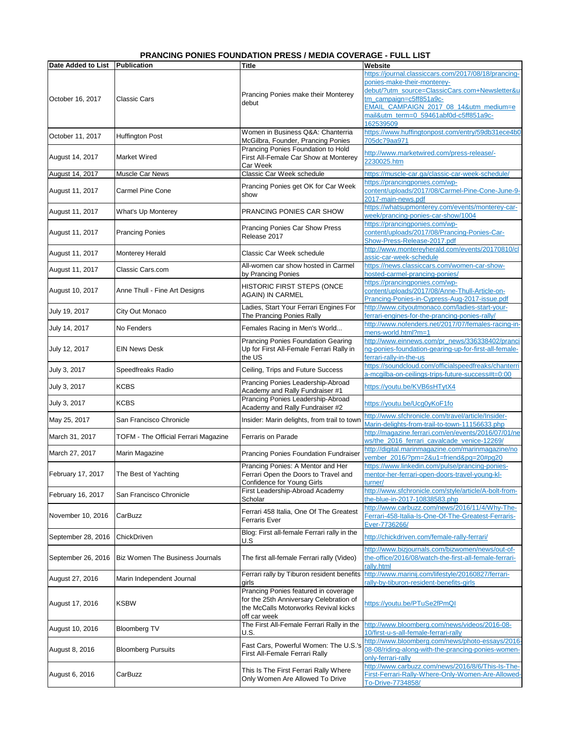## **PRANCING PONIES FOUNDATION PRESS / MEDIA COVERAGE - FULL LIST**

| Date Added to List   Publication |                                      | <b>Title</b>                                                                                                                            | Website                                                                                                                                                                                                                                                           |
|----------------------------------|--------------------------------------|-----------------------------------------------------------------------------------------------------------------------------------------|-------------------------------------------------------------------------------------------------------------------------------------------------------------------------------------------------------------------------------------------------------------------|
| October 16, 2017                 | Classic Cars                         | Prancing Ponies make their Monterey<br>debut                                                                                            | https://journal.classiccars.com/2017/08/18/prancing-<br>ponies-make-their-monterey-<br>debut/?utm_source=ClassicCars.com+Newsletter&u<br>tm_campaign=c5ff851a9c-<br>EMAIL_CAMPAIGN_2017_08_14&utm_medium=e<br>mail&utm_term=0_59461abf0d-c5ff851a9c-<br>162539509 |
| October 11, 2017                 | <b>Huffington Post</b>               | Women in Business Q&A: Chanterria<br>McGilbra, Founder, Prancing Ponies                                                                 | https://www.huffingtonpost.com/entry/59db31ece4b0<br>705dc79aa971                                                                                                                                                                                                 |
| August 14, 2017                  | <b>Market Wired</b>                  | Prancing Ponies Foundation to Hold<br>First All-Female Car Show at Monterey<br>Car Week                                                 | http://www.marketwired.com/press-release/-<br>2230025.htm                                                                                                                                                                                                         |
| August 14, 2017                  | Muscle Car News                      | Classic Car Week schedule                                                                                                               | https://muscle-car.ga/classic-car-week-schedule/                                                                                                                                                                                                                  |
| August 11, 2017                  | Carmel Pine Cone                     | Prancing Ponies get OK for Car Week<br>show                                                                                             | https://prancingponies.com/wp-<br>content/uploads/2017/08/Carmel-Pine-Cone-June-9-<br>2017-main-news.pdf                                                                                                                                                          |
| August 11, 2017                  | What's Up Monterey                   | PRANCING PONIES CAR SHOW                                                                                                                | https://whatsupmonterey.com/events/monterey-car-<br>week/prancing-ponies-car-show/1004                                                                                                                                                                            |
| August 11, 2017                  | <b>Prancing Ponies</b>               | Prancing Ponies Car Show Press<br>Release 2017                                                                                          | https://prancingponies.com/wp-<br>content/uploads/2017/08/Prancing-Ponies-Car-<br>Show-Press-Release-2017.pdf                                                                                                                                                     |
| August 11, 2017                  | <b>Monterey Herald</b>               | Classic Car Week schedule                                                                                                               | http://www.montereyherald.com/events/20170810/cl<br>assic-car-week-schedule                                                                                                                                                                                       |
| August 11, 2017                  | Classic Cars.com                     | All-women car show hosted in Carmel<br>by Prancing Ponies                                                                               | https://news.classiccars.com/women-car-show-<br>hosted-carmel-prancing-ponies/                                                                                                                                                                                    |
| August 10, 2017                  | Anne Thull - Fine Art Designs        | HISTORIC FIRST STEPS (ONCE<br><b>AGAIN) IN CARMEL</b>                                                                                   | https://prancingponies.com/wp-<br>content/uploads/2017/08/Anne-Thull-Article-on-<br>Prancing-Ponies-in-Cypress-Aug-2017-issue.pdf                                                                                                                                 |
| July 19, 2017                    | City Out Monaco                      | Ladies, Start Your Ferrari Engines For<br>The Prancing Ponies Rally                                                                     | http://www.cityoutmonaco.com/ladies-start-your-<br>ferrari-engines-for-the-prancing-ponies-rally/                                                                                                                                                                 |
| July 14, 2017                    | No Fenders                           | Females Racing in Men's World                                                                                                           | http://www.nofenders.net/2017/07/females-racing-in-<br>mens-world.html?m=1                                                                                                                                                                                        |
| July 12, 2017                    | <b>EIN News Desk</b>                 | Prancing Ponies Foundation Gearing<br>Up for First All-Female Ferrari Rally in<br>the US                                                | http://www.einnews.com/pr_news/336338402/pranci<br>ng-ponies-foundation-gearing-up-for-first-all-female-<br>ferrari-rally-in-the-us                                                                                                                               |
| July 3, 2017                     | Speedfreaks Radio                    | Ceiling, Trips and Future Success                                                                                                       | https://soundcloud.com/officialspeedfreaks/chanterri<br>a-mcgilba-on-ceilings-trips-future-success#t=0:00                                                                                                                                                         |
| July 3, 2017                     | <b>KCBS</b>                          | Prancing Ponies Leadership-Abroad<br>Academy and Rally Fundraiser #1                                                                    | https://youtu.be/KVB6sHTytX4                                                                                                                                                                                                                                      |
| July 3, 2017                     | <b>KCBS</b>                          | Prancing Ponies Leadership-Abroad<br>Academy and Rally Fundraiser #2                                                                    | https://voutu.be/Ucq0yKoF1fo                                                                                                                                                                                                                                      |
| May 25, 2017                     | San Francisco Chronicle              | Insider: Marin delights, from trail to town                                                                                             | http://www.sfchronicle.com/travel/article/Insider-<br>Marin-delights-from-trail-to-town-11156633.php                                                                                                                                                              |
| March 31, 2017                   | TOFM - The Official Ferrari Magazine | Ferraris on Parade                                                                                                                      | http://magazine.ferrari.com/en/events/2016/07/01/ne<br>ws/the_2016_ferrari_cavalcade_venice-12269/                                                                                                                                                                |
| March 27, 2017                   | Marin Magazine                       | Prancing Ponies Foundation Fundraiser                                                                                                   | http://digital.marinmagazine.com/marinmagazine/no<br>vember 2016/?pm=2&u1=friend&pg=20#pg20                                                                                                                                                                       |
| February 17, 2017                | The Best of Yachting                 | Prancing Ponies: A Mentor and Her<br>Ferrari Open the Doors to Travel and<br>Confidence for Young Girls                                 | https://www.linkedin.com/pulse/prancing-ponies-<br>mentor-her-ferrari-open-doors-travel-young-kl-<br>turner/                                                                                                                                                      |
| February 16, 2017                | San Francisco Chronicle              | First Leadership-Abroad Academy<br>Scholar                                                                                              | http://www.sfchronicle.com/style/article/A-bolt-from-<br>the-blue-in-2017-10838583.php                                                                                                                                                                            |
| November 10, 2016                | CarBuzz                              | Ferrari 458 Italia, One Of The Greatest<br>Ferraris Ever                                                                                | http://www.carbuzz.com/news/2016/11/4/Why-The-<br>Ferrari-458-Italia-Is-One-Of-The-Greatest-Ferraris-<br>Ever-7736266/                                                                                                                                            |
| September 28, 2016               | ChickDriven                          | Blog: First all-female Ferrari rally in the<br>U.S                                                                                      | http://chickdriven.com/female-rally-ferrari/                                                                                                                                                                                                                      |
| September 26, 2016               | Biz Women The Business Journals      | The first all-female Ferrari rally (Video)                                                                                              | http://www.bizjournals.com/bizwomen/news/out-of-<br>the-office/2016/08/watch-the-first-all-female-ferrari-<br>rally.html                                                                                                                                          |
| August 27, 2016                  | Marin Independent Journal            | Ferrari rally by Tiburon resident benefits<br>qirls                                                                                     | http://www.marinij.com/lifestyle/20160827/ferrari-<br>rally-by-tiburon-resident-benefits-girls                                                                                                                                                                    |
| August 17, 2016                  | <b>KSBW</b>                          | Prancing Ponies featured in coverage<br>for the 25th Anniversary Celebration of<br>the McCalls Motorworks Revival kicks<br>off car week | https://youtu.be/PTuSe2fPmQI                                                                                                                                                                                                                                      |
| August 10, 2016                  | <b>Bloomberg TV</b>                  | The First All-Female Ferrari Rally in the<br>U.S.                                                                                       | http://www.bloomberg.com/news/videos/2016-08-<br>10/first-u-s-all-female-ferrari-rally                                                                                                                                                                            |
| August 8, 2016                   | <b>Bloomberg Pursuits</b>            | Fast Cars, Powerful Women: The U.S.'s<br>First All-Female Ferrari Rally                                                                 | http://www.bloomberg.com/news/photo-essays/2016<br>08-08/riding-along-with-the-prancing-ponies-women-<br>only-ferrari-rally                                                                                                                                       |
| August 6, 2016                   | CarBuzz                              | This Is The First Ferrari Rally Where<br>Only Women Are Allowed To Drive                                                                | http://www.carbuzz.com/news/2016/8/6/This-Is-The-<br>First-Ferrari-Rally-Where-Only-Women-Are-Allowed-<br>To-Drive-7734858/                                                                                                                                       |